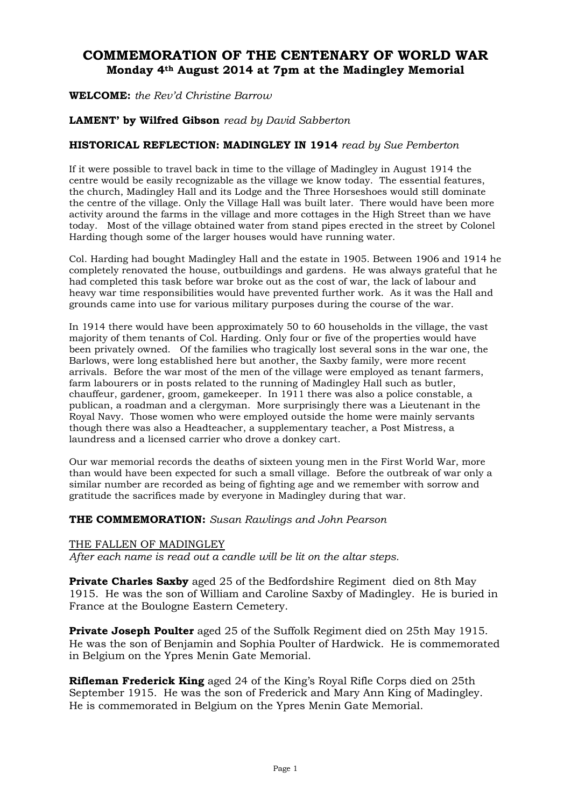# **COMMEMORATION OF THE CENTENARY OF WORLD WAR Monday 4th August 2014 at 7pm at the Madingley Memorial**

**WELCOME:** *the Rev'd Christine Barrow*

# **LAMENT' by Wilfred Gibson** *read by David Sabberton*

# **HISTORICAL REFLECTION: MADINGLEY IN 1914** *read by Sue Pemberton*

If it were possible to travel back in time to the village of Madingley in August 1914 the centre would be easily recognizable as the village we know today. The essential features, the church, Madingley Hall and its Lodge and the Three Horseshoes would still dominate the centre of the village. Only the Village Hall was built later. There would have been more activity around the farms in the village and more cottages in the High Street than we have today. Most of the village obtained water from stand pipes erected in the street by Colonel Harding though some of the larger houses would have running water.

Col. Harding had bought Madingley Hall and the estate in 1905. Between 1906 and 1914 he completely renovated the house, outbuildings and gardens. He was always grateful that he had completed this task before war broke out as the cost of war, the lack of labour and heavy war time responsibilities would have prevented further work. As it was the Hall and grounds came into use for various military purposes during the course of the war.

In 1914 there would have been approximately 50 to 60 households in the village, the vast majority of them tenants of Col. Harding. Only four or five of the properties would have been privately owned. Of the families who tragically lost several sons in the war one, the Barlows, were long established here but another, the Saxby family, were more recent arrivals. Before the war most of the men of the village were employed as tenant farmers, farm labourers or in posts related to the running of Madingley Hall such as butler, chauffeur, gardener, groom, gamekeeper. In 1911 there was also a police constable, a publican, a roadman and a clergyman. More surprisingly there was a Lieutenant in the Royal Navy. Those women who were employed outside the home were mainly servants though there was also a Headteacher, a supplementary teacher, a Post Mistress, a laundress and a licensed carrier who drove a donkey cart.

Our war memorial records the deaths of sixteen young men in the First World War, more than would have been expected for such a small village. Before the outbreak of war only a similar number are recorded as being of fighting age and we remember with sorrow and gratitude the sacrifices made by everyone in Madingley during that war.

### **THE COMMEMORATION:** *Susan Rawlings and John Pearson*

#### THE FALLEN OF MADINGLEY

*After each name is read out a candle will be lit on the altar steps.*

**Private Charles Saxby** aged 25 of the Bedfordshire Regiment died on 8th May 1915. He was the son of William and Caroline Saxby of Madingley. He is buried in France at the Boulogne Eastern Cemetery.

**Private Joseph Poulter** aged 25 of the Suffolk Regiment died on 25th May 1915. He was the son of Benjamin and Sophia Poulter of Hardwick. He is commemorated in Belgium on the Ypres Menin Gate Memorial.

**Rifleman Frederick King** aged 24 of the King's Royal Rifle Corps died on 25th September 1915. He was the son of Frederick and Mary Ann King of Madingley. He is commemorated in Belgium on the Ypres Menin Gate Memorial.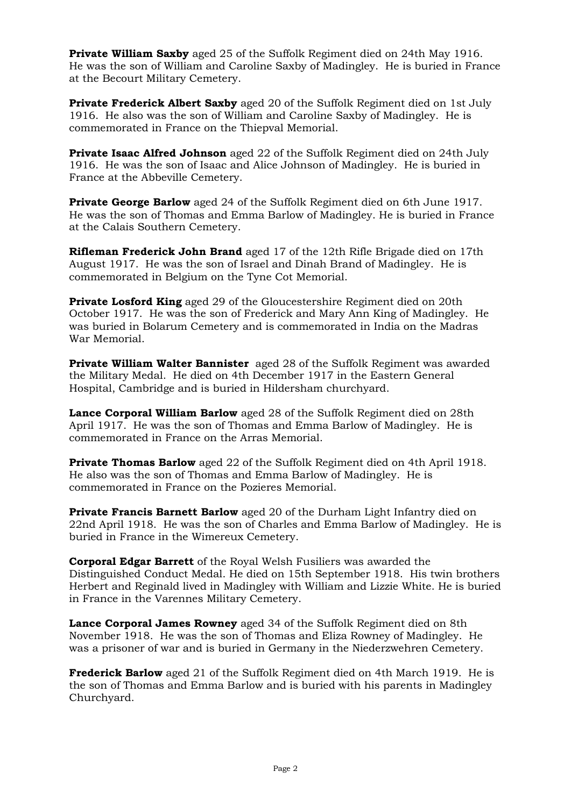**Private William Saxby** aged 25 of the Suffolk Regiment died on 24th May 1916. He was the son of William and Caroline Saxby of Madingley. He is buried in France at the Becourt Military Cemetery.

**Private Frederick Albert Saxby** aged 20 of the Suffolk Regiment died on 1st July 1916. He also was the son of William and Caroline Saxby of Madingley. He is commemorated in France on the Thiepval Memorial.

**Private Isaac Alfred Johnson** aged 22 of the Suffolk Regiment died on 24th July 1916. He was the son of Isaac and Alice Johnson of Madingley. He is buried in France at the Abbeville Cemetery.

**Private George Barlow** aged 24 of the Suffolk Regiment died on 6th June 1917. He was the son of Thomas and Emma Barlow of Madingley. He is buried in France at the Calais Southern Cemetery.

**Rifleman Frederick John Brand** aged 17 of the 12th Rifle Brigade died on 17th August 1917. He was the son of Israel and Dinah Brand of Madingley. He is commemorated in Belgium on the Tyne Cot Memorial.

**Private Losford King** aged 29 of the Gloucestershire Regiment died on 20th October 1917. He was the son of Frederick and Mary Ann King of Madingley. He was buried in Bolarum Cemetery and is commemorated in India on the Madras War Memorial.

**Private William Walter Bannister** aged 28 of the Suffolk Regiment was awarded the Military Medal. He died on 4th December 1917 in the Eastern General Hospital, Cambridge and is buried in Hildersham churchyard.

**Lance Corporal William Barlow** aged 28 of the Suffolk Regiment died on 28th April 1917. He was the son of Thomas and Emma Barlow of Madingley. He is commemorated in France on the Arras Memorial.

**Private Thomas Barlow** aged 22 of the Suffolk Regiment died on 4th April 1918. He also was the son of Thomas and Emma Barlow of Madingley. He is commemorated in France on the Pozieres Memorial.

**Private Francis Barnett Barlow** aged 20 of the Durham Light Infantry died on 22nd April 1918. He was the son of Charles and Emma Barlow of Madingley. He is buried in France in the Wimereux Cemetery.

**Corporal Edgar Barrett** of the Royal Welsh Fusiliers was awarded the Distinguished Conduct Medal. He died on 15th September 1918. His twin brothers Herbert and Reginald lived in Madingley with William and Lizzie White. He is buried in France in the Varennes Military Cemetery.

**Lance Corporal James Rowney** aged 34 of the Suffolk Regiment died on 8th November 1918. He was the son of Thomas and Eliza Rowney of Madingley. He was a prisoner of war and is buried in Germany in the Niederzwehren Cemetery.

**Frederick Barlow** aged 21 of the Suffolk Regiment died on 4th March 1919. He is the son of Thomas and Emma Barlow and is buried with his parents in Madingley Churchyard.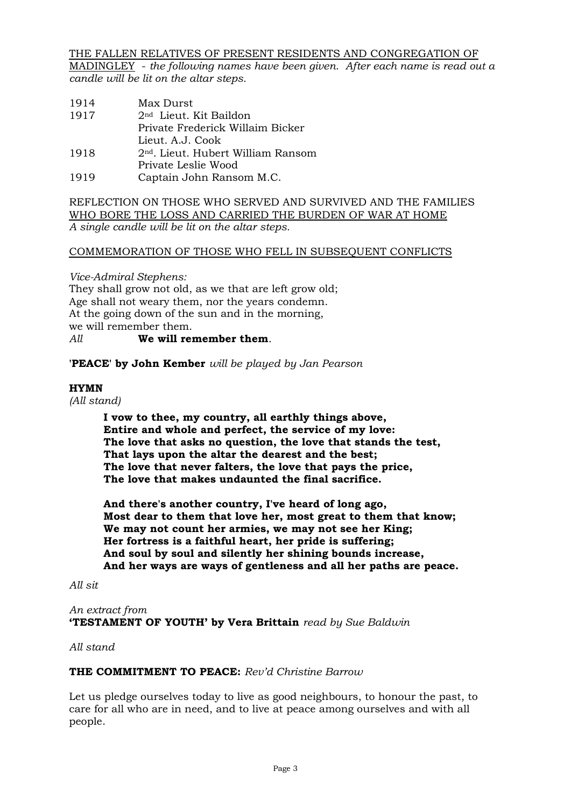THE FALLEN RELATIVES OF PRESENT RESIDENTS AND CONGREGATION OF

MADINGLEY - *the following names have been given. After each name is read out a candle will be lit on the altar steps.*

1914 Max Durst 1917 2nd Lieut. Kit Baildon Private Frederick Willaim Bicker Lieut. A.J. Cook 1918 2nd. Lieut. Hubert William Ransom Private Leslie Wood 1919 Captain John Ransom M.C.

## REFLECTION ON THOSE WHO SERVED AND SURVIVED AND THE FAMILIES WHO BORE THE LOSS AND CARRIED THE BURDEN OF WAR AT HOME *A single candle will be lit on the altar steps.*

# COMMEMORATION OF THOSE WHO FELL IN SUBSEQUENT CONFLICTS

*Vice-Admiral Stephens:* They shall grow not old, as we that are left grow old; Age shall not weary them, nor the years condemn. At the going down of the sun and in the morning, we will remember them. *All* **We will remember them**.

**'PEACE' by John Kember** *will be played by Jan Pearson*

# **HYMN**

*(All stand)*

**I vow to thee, my country, all earthly things above, Entire and whole and perfect, the service of my love: The love that asks no question, the love that stands the test, That lays upon the altar the dearest and the best; The love that never falters, the love that pays the price, The love that makes undaunted the final sacrifice.**

**And there's another country, I've heard of long ago, Most dear to them that love her, most great to them that know; We may not count her armies, we may not see her King; Her fortress is a faithful heart, her pride is suffering; And soul by soul and silently her shining bounds increase, And her ways are ways of gentleness and all her paths are peace.**

#### *All sit*

*An extract from* **'TESTAMENT OF YOUTH' by Vera Brittain** *read by Sue Baldwin*

*All stand*

### **THE COMMITMENT TO PEACE:** *Rev'd Christine Barrow*

Let us pledge ourselves today to live as good neighbours, to honour the past, to care for all who are in need, and to live at peace among ourselves and with all people.